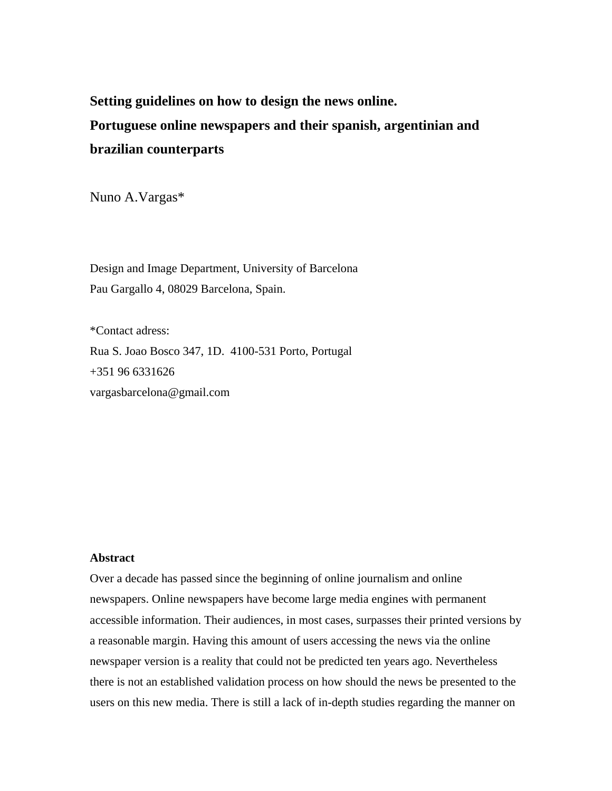**Setting guidelines on how to design the news online. Portuguese online newspapers and their spanish, argentinian and brazilian counterparts** 

Nuno A.Vargas\*

Design and Image Department, University of Barcelona Pau Gargallo 4, 08029 Barcelona, Spain.

\*Contact adress: Rua S. Joao Bosco 347, 1D. 4100-531 Porto, Portugal +351 96 6331626 vargasbarcelona@gmail.com

# **Abstract**

Over a decade has passed since the beginning of online journalism and online newspapers. Online newspapers have become large media engines with permanent accessible information. Their audiences, in most cases, surpasses their printed versions by a reasonable margin. Having this amount of users accessing the news via the online newspaper version is a reality that could not be predicted ten years ago. Nevertheless there is not an established validation process on how should the news be presented to the users on this new media. There is still a lack of in-depth studies regarding the manner on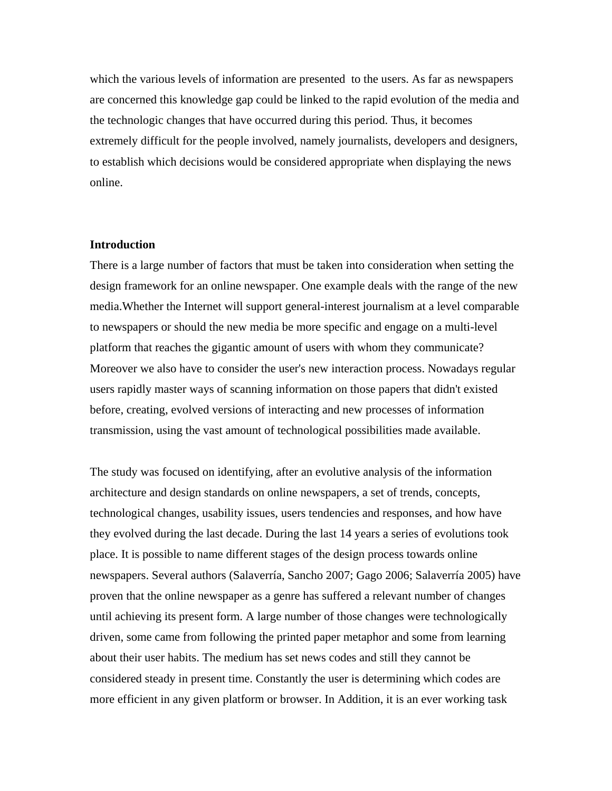which the various levels of information are presented to the users. As far as newspapers are concerned this knowledge gap could be linked to the rapid evolution of the media and the technologic changes that have occurred during this period. Thus, it becomes extremely difficult for the people involved, namely journalists, developers and designers, to establish which decisions would be considered appropriate when displaying the news online.

## **Introduction**

There is a large number of factors that must be taken into consideration when setting the design framework for an online newspaper. One example deals with the range of the new media.Whether the Internet will support general-interest journalism at a level comparable to newspapers or should the new media be more specific and engage on a multi-level platform that reaches the gigantic amount of users with whom they communicate? Moreover we also have to consider the user's new interaction process. Nowadays regular users rapidly master ways of scanning information on those papers that didn't existed before, creating, evolved versions of interacting and new processes of information transmission, using the vast amount of technological possibilities made available.

The study was focused on identifying, after an evolutive analysis of the information architecture and design standards on online newspapers, a set of trends, concepts, technological changes, usability issues, users tendencies and responses, and how have they evolved during the last decade. During the last 14 years a series of evolutions took place. It is possible to name different stages of the design process towards online newspapers. Several authors (Salaverría, Sancho 2007; Gago 2006; Salaverría 2005) have proven that the online newspaper as a genre has suffered a relevant number of changes until achieving its present form. A large number of those changes were technologically driven, some came from following the printed paper metaphor and some from learning about their user habits. The medium has set news codes and still they cannot be considered steady in present time. Constantly the user is determining which codes are more efficient in any given platform or browser. In Addition, it is an ever working task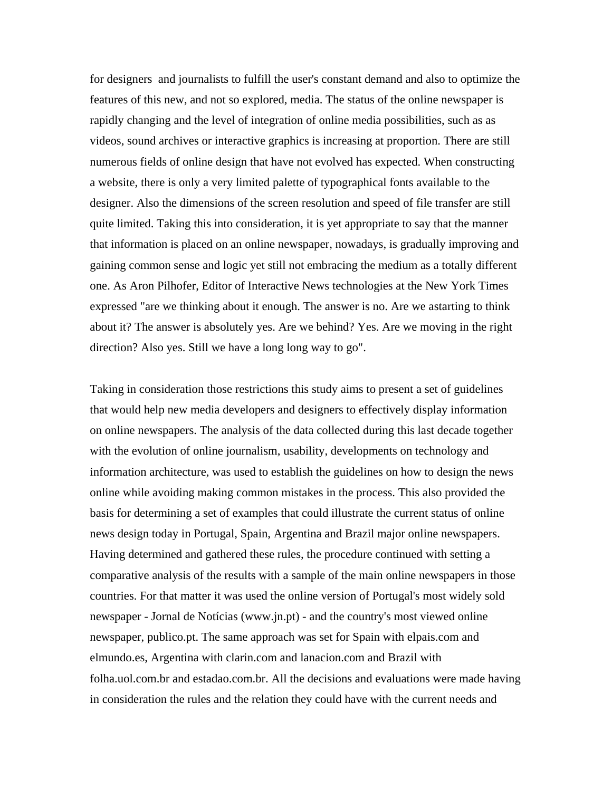for designers and journalists to fulfill the user's constant demand and also to optimize the features of this new, and not so explored, media. The status of the online newspaper is rapidly changing and the level of integration of online media possibilities, such as as videos, sound archives or interactive graphics is increasing at proportion. There are still numerous fields of online design that have not evolved has expected. When constructing a website, there is only a very limited palette of typographical fonts available to the designer. Also the dimensions of the screen resolution and speed of file transfer are still quite limited. Taking this into consideration, it is yet appropriate to say that the manner that information is placed on an online newspaper, nowadays, is gradually improving and gaining common sense and logic yet still not embracing the medium as a totally different one. As Aron Pilhofer, Editor of Interactive News technologies at the New York Times expressed "are we thinking about it enough. The answer is no. Are we astarting to think about it? The answer is absolutely yes. Are we behind? Yes. Are we moving in the right direction? Also yes. Still we have a long long way to go".

Taking in consideration those restrictions this study aims to present a set of guidelines that would help new media developers and designers to effectively display information on online newspapers. The analysis of the data collected during this last decade together with the evolution of online journalism, usability, developments on technology and information architecture, was used to establish the guidelines on how to design the news online while avoiding making common mistakes in the process. This also provided the basis for determining a set of examples that could illustrate the current status of online news design today in Portugal, Spain, Argentina and Brazil major online newspapers. Having determined and gathered these rules, the procedure continued with setting a comparative analysis of the results with a sample of the main online newspapers in those countries. For that matter it was used the online version of Portugal's most widely sold newspaper - Jornal de Notícias (www.jn.pt) - and the country's most viewed online newspaper, publico.pt. The same approach was set for Spain with elpais.com and elmundo.es, Argentina with clarin.com and lanacion.com and Brazil with folha.uol.com.br and estadao.com.br. All the decisions and evaluations were made having in consideration the rules and the relation they could have with the current needs and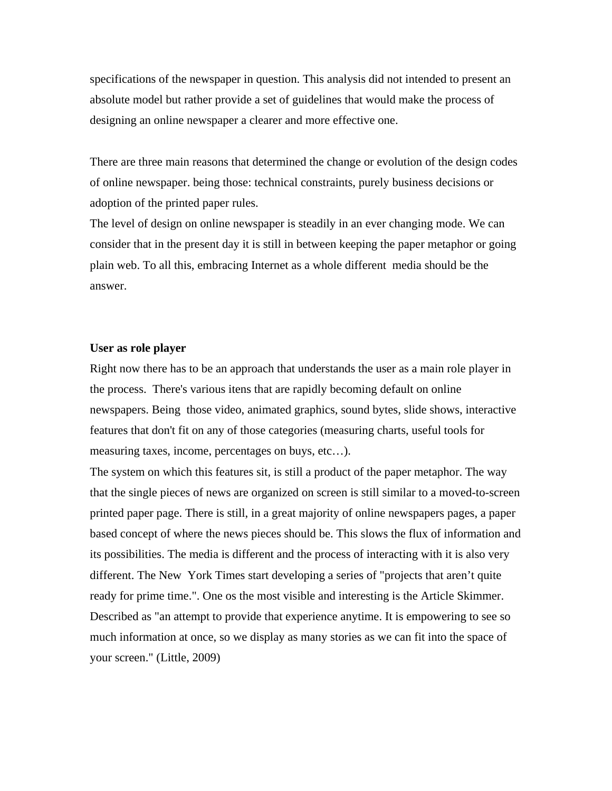specifications of the newspaper in question. This analysis did not intended to present an absolute model but rather provide a set of guidelines that would make the process of designing an online newspaper a clearer and more effective one.

There are three main reasons that determined the change or evolution of the design codes of online newspaper. being those: technical constraints, purely business decisions or adoption of the printed paper rules.

The level of design on online newspaper is steadily in an ever changing mode. We can consider that in the present day it is still in between keeping the paper metaphor or going plain web. To all this, embracing Internet as a whole different media should be the answer.

# **User as role player**

Right now there has to be an approach that understands the user as a main role player in the process. There's various itens that are rapidly becoming default on online newspapers. Being those video, animated graphics, sound bytes, slide shows, interactive features that don't fit on any of those categories (measuring charts, useful tools for measuring taxes, income, percentages on buys, etc…).

The system on which this features sit, is still a product of the paper metaphor. The way that the single pieces of news are organized on screen is still similar to a moved-to-screen printed paper page. There is still, in a great majority of online newspapers pages, a paper based concept of where the news pieces should be. This slows the flux of information and its possibilities. The media is different and the process of interacting with it is also very different. The New York Times start developing a series of "projects that aren't quite ready for prime time.". One os the most visible and interesting is the Article Skimmer. Described as "an attempt to provide that experience anytime. It is empowering to see so much information at once, so we display as many stories as we can fit into the space of your screen." (Little, 2009)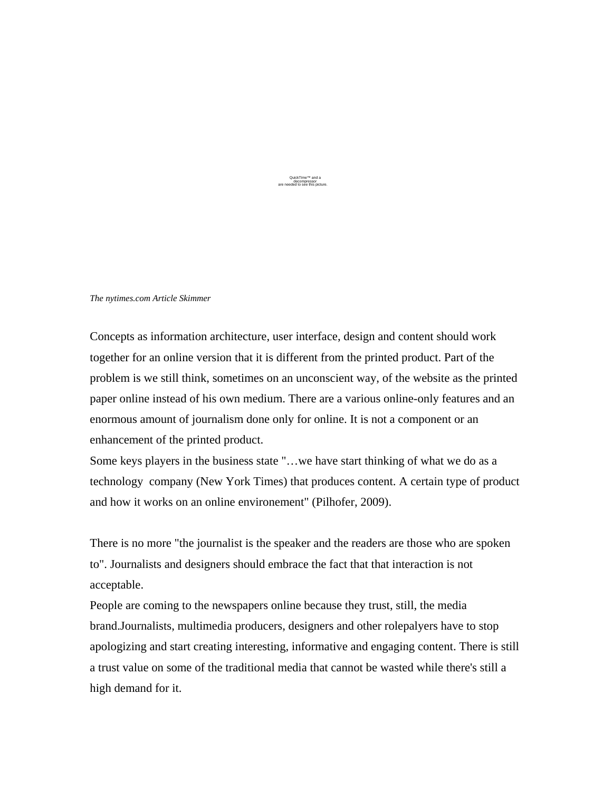QuickTime™ and a decompressor are needed to see this picture.

*The nytimes.com Article Skimmer* 

Concepts as information architecture, user interface, design and content should work together for an online version that it is different from the printed product. Part of the problem is we still think, sometimes on an unconscient way, of the website as the printed paper online instead of his own medium. There are a various online-only features and an enormous amount of journalism done only for online. It is not a component or an enhancement of the printed product.

Some keys players in the business state "…we have start thinking of what we do as a technology company (New York Times) that produces content. A certain type of product and how it works on an online environement" (Pilhofer, 2009).

There is no more "the journalist is the speaker and the readers are those who are spoken to". Journalists and designers should embrace the fact that that interaction is not acceptable.

People are coming to the newspapers online because they trust, still, the media brand.Journalists, multimedia producers, designers and other rolepalyers have to stop apologizing and start creating interesting, informative and engaging content. There is still a trust value on some of the traditional media that cannot be wasted while there's still a high demand for it.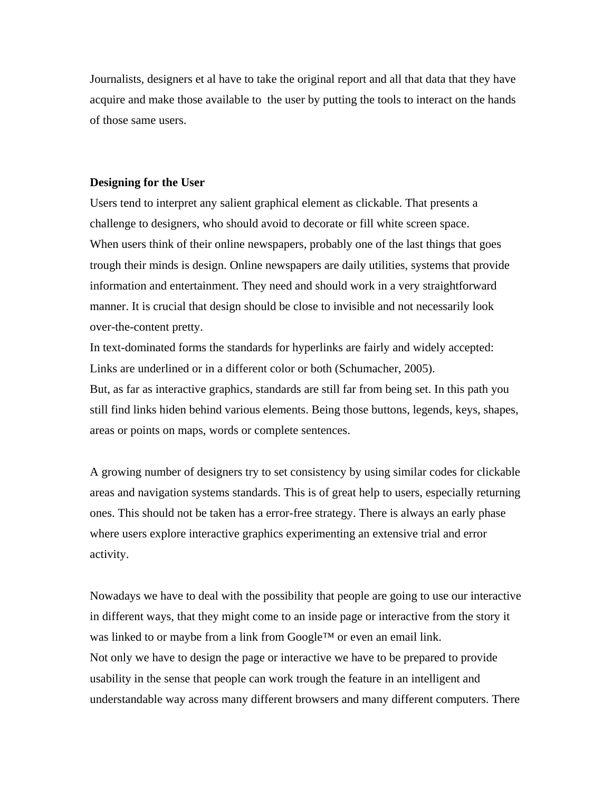Journalists, designers et al have to take the original report and all that data that they have acquire and make those available to the user by putting the tools to interact on the hands of those same users.

## **Designing for the User**

Users tend to interpret any salient graphical element as clickable. That presents a challenge to designers, who should avoid to decorate or fill white screen space. When users think of their online newspapers, probably one of the last things that goes trough their minds is design. Online newspapers are daily utilities, systems that provide information and entertainment. They need and should work in a very straightforward manner. It is crucial that design should be close to invisible and not necessarily look over-the-content pretty.

In text-dominated forms the standards for hyperlinks are fairly and widely accepted: Links are underlined or in a different color or both (Schumacher, 2005).

But, as far as interactive graphics, standards are still far from being set. In this path you still find links hiden behind various elements. Being those buttons, legends, keys, shapes, areas or points on maps, words or complete sentences.

A growing number of designers try to set consistency by using similar codes for clickable areas and navigation systems standards. This is of great help to users, especially returning ones. This should not be taken has a error-free strategy. There is always an early phase where users explore interactive graphics experimenting an extensive trial and error activity.

Nowadays we have to deal with the possibility that people are going to use our interactive in different ways, that they might come to an inside page or interactive from the story it was linked to or maybe from a link from Google™ or even an email link. Not only we have to design the page or interactive we have to be prepared to provide usability in the sense that people can work trough the feature in an intelligent and understandable way across many different browsers and many different computers. There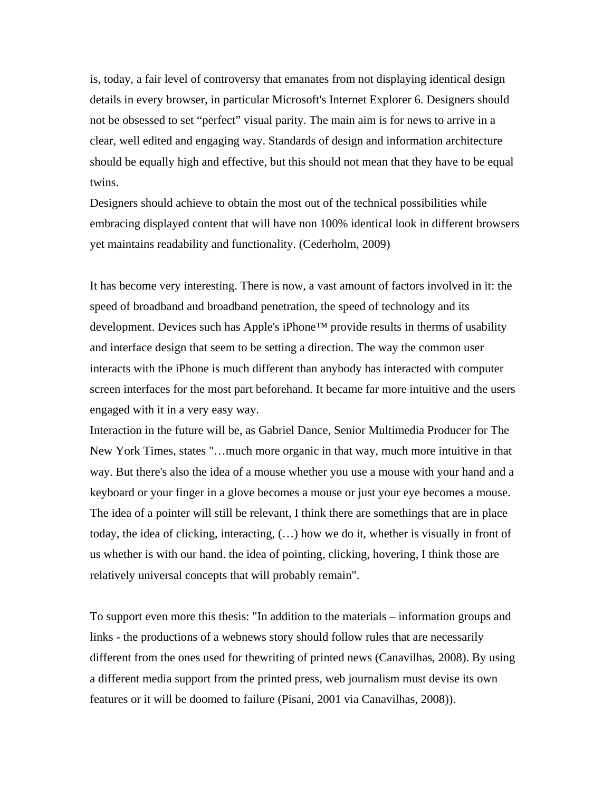is, today, a fair level of controversy that emanates from not displaying identical design details in every browser, in particular Microsoft's Internet Explorer 6. Designers should not be obsessed to set "perfect" visual parity. The main aim is for news to arrive in a clear, well edited and engaging way. Standards of design and information architecture should be equally high and effective, but this should not mean that they have to be equal twins.

Designers should achieve to obtain the most out of the technical possibilities while embracing displayed content that will have non 100% identical look in different browsers yet maintains readability and functionality. (Cederholm, 2009)

It has become very interesting. There is now, a vast amount of factors involved in it: the speed of broadband and broadband penetration, the speed of technology and its development. Devices such has Apple's iPhone™ provide results in therms of usability and interface design that seem to be setting a direction. The way the common user interacts with the iPhone is much different than anybody has interacted with computer screen interfaces for the most part beforehand. It became far more intuitive and the users engaged with it in a very easy way.

Interaction in the future will be, as Gabriel Dance, Senior Multimedia Producer for The New York Times, states "…much more organic in that way, much more intuitive in that way. But there's also the idea of a mouse whether you use a mouse with your hand and a keyboard or your finger in a glove becomes a mouse or just your eye becomes a mouse. The idea of a pointer will still be relevant, I think there are somethings that are in place today, the idea of clicking, interacting, (…) how we do it, whether is visually in front of us whether is with our hand. the idea of pointing, clicking, hovering, I think those are relatively universal concepts that will probably remain".

To support even more this thesis: "In addition to the materials – information groups and links - the productions of a webnews story should follow rules that are necessarily different from the ones used for thewriting of printed news (Canavilhas, 2008). By using a different media support from the printed press, web journalism must devise its own features or it will be doomed to failure (Pisani, 2001 via Canavilhas, 2008)).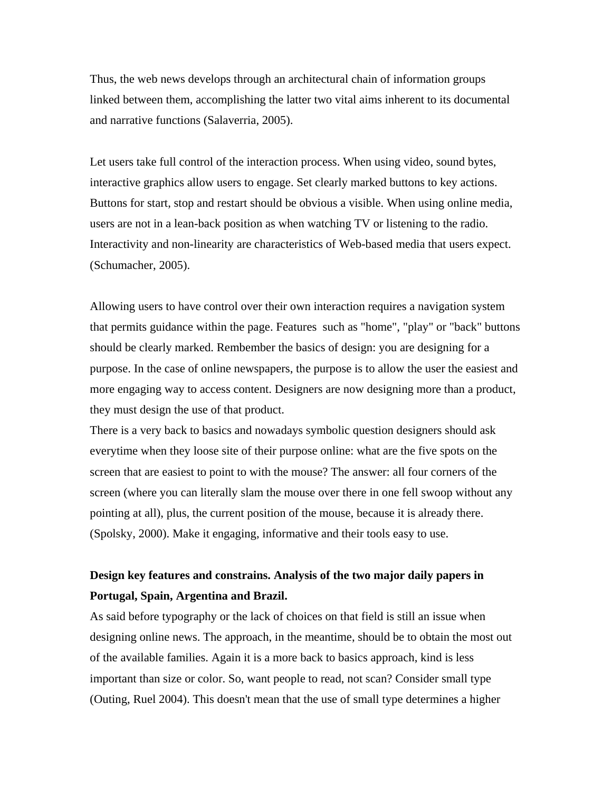Thus, the web news develops through an architectural chain of information groups linked between them, accomplishing the latter two vital aims inherent to its documental and narrative functions (Salaverria, 2005).

Let users take full control of the interaction process. When using video, sound bytes, interactive graphics allow users to engage. Set clearly marked buttons to key actions. Buttons for start, stop and restart should be obvious a visible. When using online media, users are not in a lean-back position as when watching TV or listening to the radio. Interactivity and non-linearity are characteristics of Web-based media that users expect. (Schumacher, 2005).

Allowing users to have control over their own interaction requires a navigation system that permits guidance within the page. Features such as "home", "play" or "back" buttons should be clearly marked. Rembember the basics of design: you are designing for a purpose. In the case of online newspapers, the purpose is to allow the user the easiest and more engaging way to access content. Designers are now designing more than a product, they must design the use of that product.

There is a very back to basics and nowadays symbolic question designers should ask everytime when they loose site of their purpose online: what are the five spots on the screen that are easiest to point to with the mouse? The answer: all four corners of the screen (where you can literally slam the mouse over there in one fell swoop without any pointing at all), plus, the current position of the mouse, because it is already there. (Spolsky, 2000). Make it engaging, informative and their tools easy to use.

# **Design key features and constrains. Analysis of the two major daily papers in Portugal, Spain, Argentina and Brazil.**

As said before typography or the lack of choices on that field is still an issue when designing online news. The approach, in the meantime, should be to obtain the most out of the available families. Again it is a more back to basics approach, kind is less important than size or color. So, want people to read, not scan? Consider small type (Outing, Ruel 2004). This doesn't mean that the use of small type determines a higher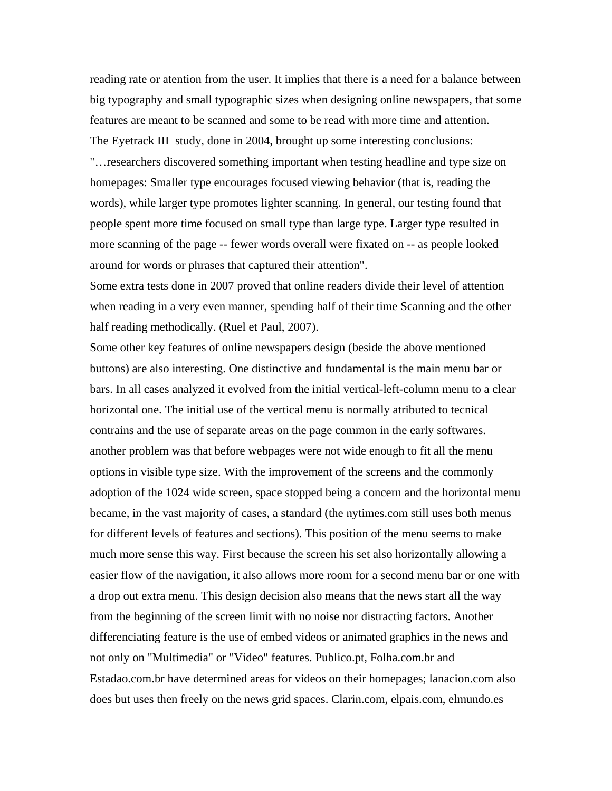reading rate or atention from the user. It implies that there is a need for a balance between big typography and small typographic sizes when designing online newspapers, that some features are meant to be scanned and some to be read with more time and attention. The Eyetrack III study, done in 2004, brought up some interesting conclusions: "…researchers discovered something important when testing headline and type size on homepages: Smaller type encourages focused viewing behavior (that is, reading the words), while larger type promotes lighter scanning. In general, our testing found that people spent more time focused on small type than large type. Larger type resulted in more scanning of the page -- fewer words overall were fixated on -- as people looked around for words or phrases that captured their attention".

Some extra tests done in 2007 proved that online readers divide their level of attention when reading in a very even manner, spending half of their time Scanning and the other half reading methodically. (Ruel et Paul, 2007).

Some other key features of online newspapers design (beside the above mentioned buttons) are also interesting. One distinctive and fundamental is the main menu bar or bars. In all cases analyzed it evolved from the initial vertical-left-column menu to a clear horizontal one. The initial use of the vertical menu is normally atributed to tecnical contrains and the use of separate areas on the page common in the early softwares. another problem was that before webpages were not wide enough to fit all the menu options in visible type size. With the improvement of the screens and the commonly adoption of the 1024 wide screen, space stopped being a concern and the horizontal menu became, in the vast majority of cases, a standard (the nytimes.com still uses both menus for different levels of features and sections). This position of the menu seems to make much more sense this way. First because the screen his set also horizontally allowing a easier flow of the navigation, it also allows more room for a second menu bar or one with a drop out extra menu. This design decision also means that the news start all the way from the beginning of the screen limit with no noise nor distracting factors. Another differenciating feature is the use of embed videos or animated graphics in the news and not only on "Multimedia" or "Video" features. Publico.pt, Folha.com.br and Estadao.com.br have determined areas for videos on their homepages; lanacion.com also does but uses then freely on the news grid spaces. Clarin.com, elpais.com, elmundo.es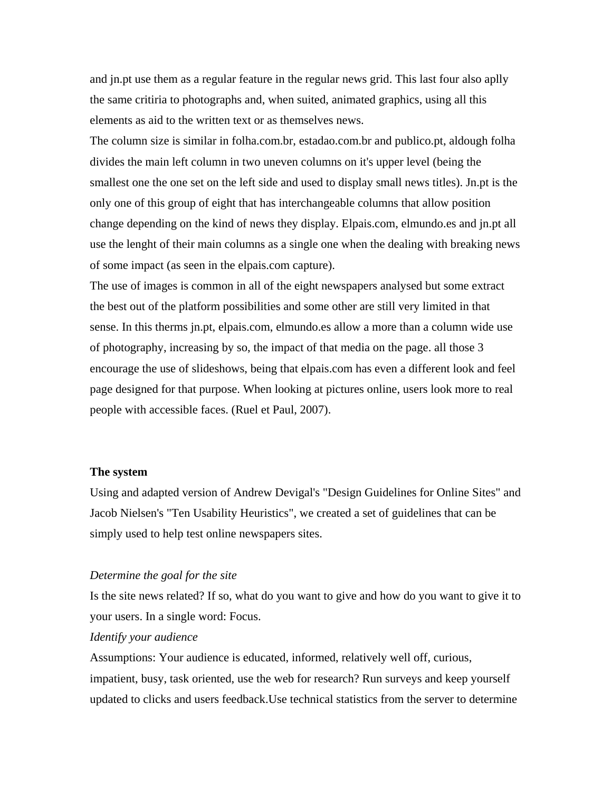and jn.pt use them as a regular feature in the regular news grid. This last four also aplly the same critiria to photographs and, when suited, animated graphics, using all this elements as aid to the written text or as themselves news.

The column size is similar in folha.com.br, estadao.com.br and publico.pt, aldough folha divides the main left column in two uneven columns on it's upper level (being the smallest one the one set on the left side and used to display small news titles). Jn.pt is the only one of this group of eight that has interchangeable columns that allow position change depending on the kind of news they display. Elpais.com, elmundo.es and jn.pt all use the lenght of their main columns as a single one when the dealing with breaking news of some impact (as seen in the elpais.com capture).

The use of images is common in all of the eight newspapers analysed but some extract the best out of the platform possibilities and some other are still very limited in that sense. In this therms jn.pt, elpais.com, elmundo.es allow a more than a column wide use of photography, increasing by so, the impact of that media on the page. all those 3 encourage the use of slideshows, being that elpais.com has even a different look and feel page designed for that purpose. When looking at pictures online, users look more to real people with accessible faces. (Ruel et Paul, 2007).

## **The system**

Using and adapted version of Andrew Devigal's "Design Guidelines for Online Sites" and Jacob Nielsen's "Ten Usability Heuristics", we created a set of guidelines that can be simply used to help test online newspapers sites.

#### *Determine the goal for the site*

Is the site news related? If so, what do you want to give and how do you want to give it to your users. In a single word: Focus.

# *Identify your audience*

Assumptions: Your audience is educated, informed, relatively well off, curious, impatient, busy, task oriented, use the web for research? Run surveys and keep yourself updated to clicks and users feedback.Use technical statistics from the server to determine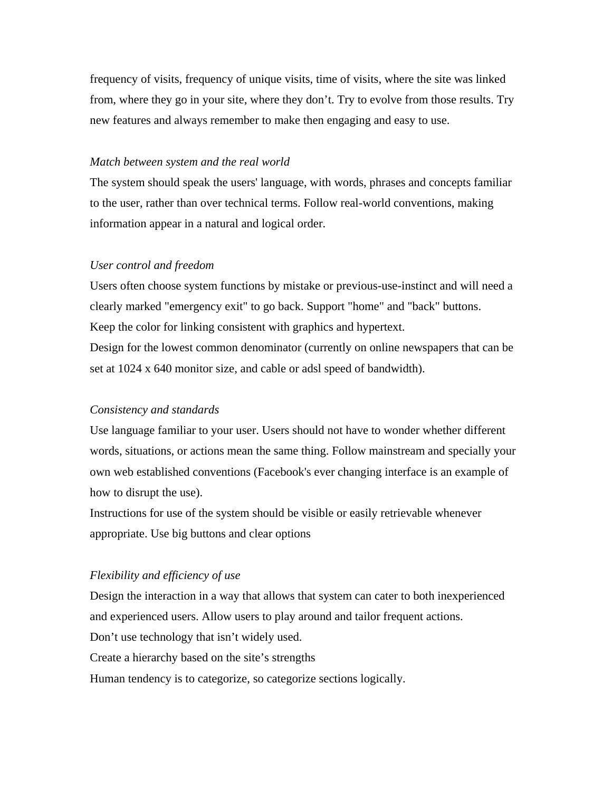frequency of visits, frequency of unique visits, time of visits, where the site was linked from, where they go in your site, where they don't. Try to evolve from those results. Try new features and always remember to make then engaging and easy to use.

## *Match between system and the real world*

The system should speak the users' language, with words, phrases and concepts familiar to the user, rather than over technical terms. Follow real-world conventions, making information appear in a natural and logical order.

## *User control and freedom*

Users often choose system functions by mistake or previous-use-instinct and will need a clearly marked "emergency exit" to go back. Support "home" and "back" buttons. Keep the color for linking consistent with graphics and hypertext. Design for the lowest common denominator (currently on online newspapers that can be set at 1024 x 640 monitor size, and cable or adsl speed of bandwidth).

#### *Consistency and standards*

Use language familiar to your user. Users should not have to wonder whether different words, situations, or actions mean the same thing. Follow mainstream and specially your own web established conventions (Facebook's ever changing interface is an example of how to disrupt the use).

Instructions for use of the system should be visible or easily retrievable whenever appropriate. Use big buttons and clear options

#### *Flexibility and efficiency of use*

Design the interaction in a way that allows that system can cater to both inexperienced and experienced users. Allow users to play around and tailor frequent actions.

Don't use technology that isn't widely used.

Create a hierarchy based on the site's strengths

Human tendency is to categorize, so categorize sections logically.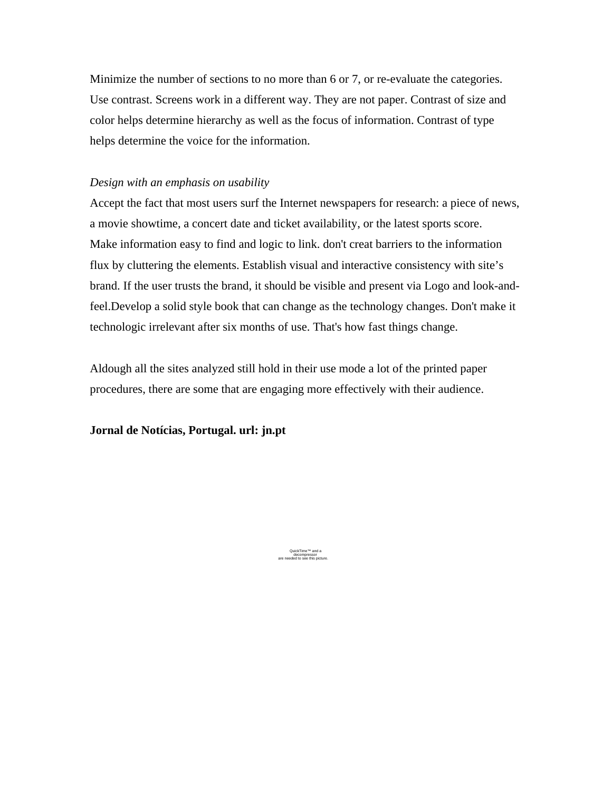Minimize the number of sections to no more than 6 or 7, or re-evaluate the categories. Use contrast. Screens work in a different way. They are not paper. Contrast of size and color helps determine hierarchy as well as the focus of information. Contrast of type helps determine the voice for the information.

# *Design with an emphasis on usability*

Accept the fact that most users surf the Internet newspapers for research: a piece of news, a movie showtime, a concert date and ticket availability, or the latest sports score. Make information easy to find and logic to link. don't creat barriers to the information flux by cluttering the elements. Establish visual and interactive consistency with site's brand. If the user trusts the brand, it should be visible and present via Logo and look-andfeel.Develop a solid style book that can change as the technology changes. Don't make it technologic irrelevant after six months of use. That's how fast things change.

Aldough all the sites analyzed still hold in their use mode a lot of the printed paper procedures, there are some that are engaging more effectively with their audience.

**Jornal de Notícias, Portugal. url: jn.pt**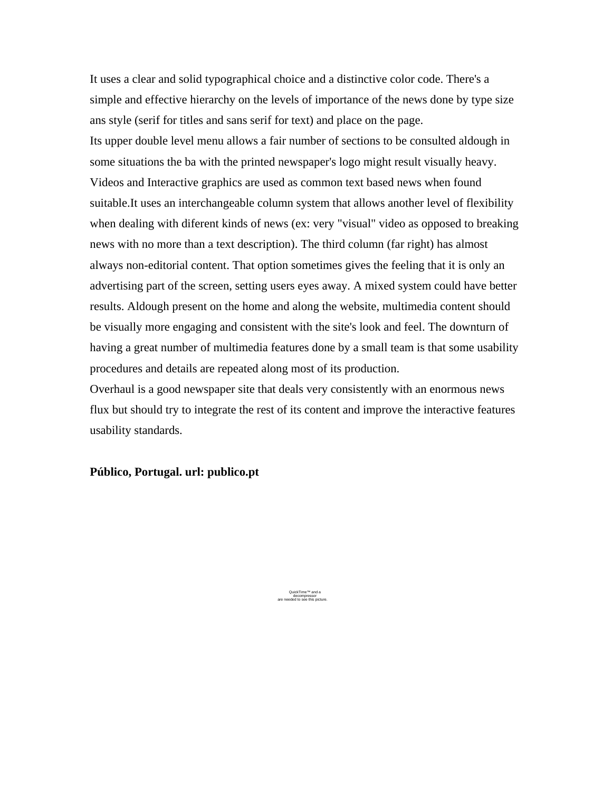It uses a clear and solid typographical choice and a distinctive color code. There's a simple and effective hierarchy on the levels of importance of the news done by type size ans style (serif for titles and sans serif for text) and place on the page. Its upper double level menu allows a fair number of sections to be consulted aldough in some situations the ba with the printed newspaper's logo might result visually heavy. Videos and Interactive graphics are used as common text based news when found suitable.It uses an interchangeable column system that allows another level of flexibility when dealing with diferent kinds of news (ex: very "visual" video as opposed to breaking news with no more than a text description). The third column (far right) has almost always non-editorial content. That option sometimes gives the feeling that it is only an advertising part of the screen, setting users eyes away. A mixed system could have better results. Aldough present on the home and along the website, multimedia content should be visually more engaging and consistent with the site's look and feel. The downturn of having a great number of multimedia features done by a small team is that some usability procedures and details are repeated along most of its production.

Overhaul is a good newspaper site that deals very consistently with an enormous news flux but should try to integrate the rest of its content and improve the interactive features usability standards.

**Público, Portugal. url: publico.pt**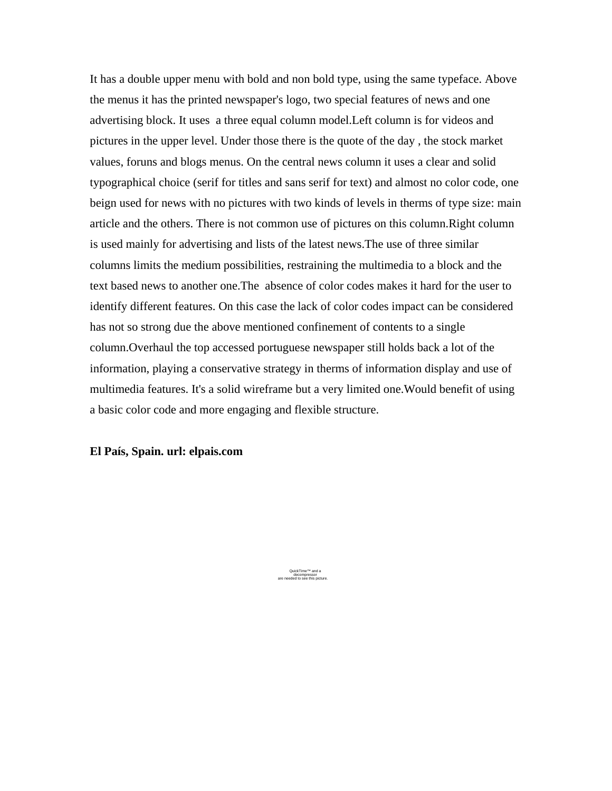It has a double upper menu with bold and non bold type, using the same typeface. Above the menus it has the printed newspaper's logo, two special features of news and one advertising block. It uses a three equal column model.Left column is for videos and pictures in the upper level. Under those there is the quote of the day , the stock market values, foruns and blogs menus. On the central news column it uses a clear and solid typographical choice (serif for titles and sans serif for text) and almost no color code, one beign used for news with no pictures with two kinds of levels in therms of type size: main article and the others. There is not common use of pictures on this column.Right column is used mainly for advertising and lists of the latest news.The use of three similar columns limits the medium possibilities, restraining the multimedia to a block and the text based news to another one.The absence of color codes makes it hard for the user to identify different features. On this case the lack of color codes impact can be considered has not so strong due the above mentioned confinement of contents to a single column.Overhaul the top accessed portuguese newspaper still holds back a lot of the information, playing a conservative strategy in therms of information display and use of multimedia features. It's a solid wireframe but a very limited one.Would benefit of using a basic color code and more engaging and flexible structure.

**El País, Spain. url: elpais.com**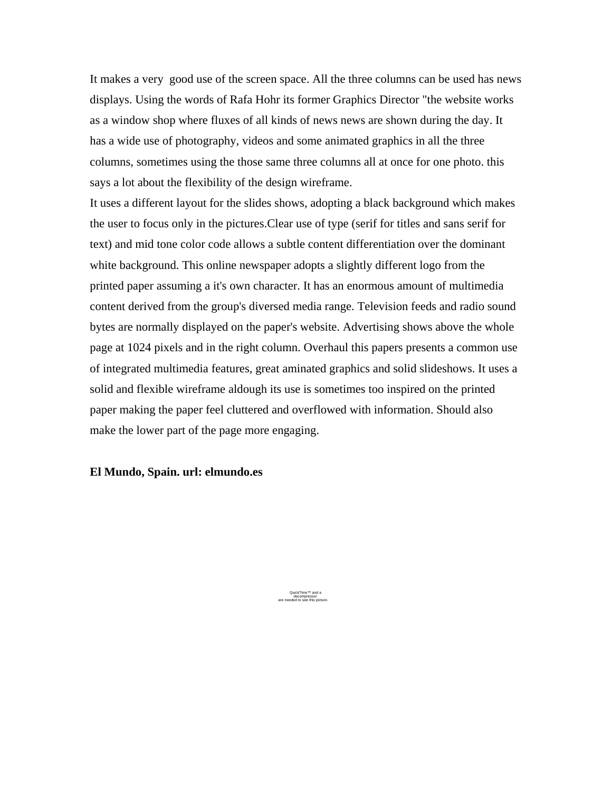It makes a very good use of the screen space. All the three columns can be used has news displays. Using the words of Rafa Hohr its former Graphics Director "the website works as a window shop where fluxes of all kinds of news news are shown during the day. It has a wide use of photography, videos and some animated graphics in all the three columns, sometimes using the those same three columns all at once for one photo. this says a lot about the flexibility of the design wireframe.

It uses a different layout for the slides shows, adopting a black background which makes the user to focus only in the pictures.Clear use of type (serif for titles and sans serif for text) and mid tone color code allows a subtle content differentiation over the dominant white background. This online newspaper adopts a slightly different logo from the printed paper assuming a it's own character. It has an enormous amount of multimedia content derived from the group's diversed media range. Television feeds and radio sound bytes are normally displayed on the paper's website. Advertising shows above the whole page at 1024 pixels and in the right column. Overhaul this papers presents a common use of integrated multimedia features, great aminated graphics and solid slideshows. It uses a solid and flexible wireframe aldough its use is sometimes too inspired on the printed paper making the paper feel cluttered and overflowed with information. Should also make the lower part of the page more engaging.

## **El Mundo, Spain. url: elmundo.es**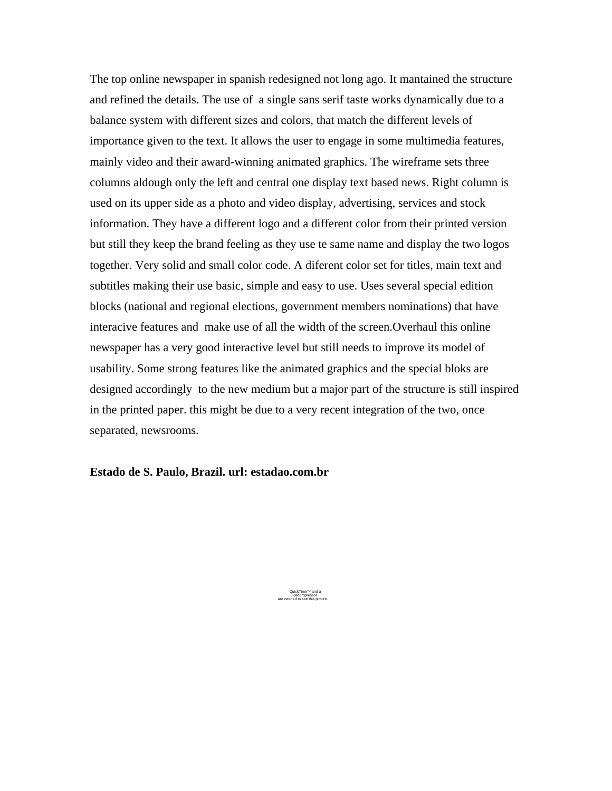The top online newspaper in spanish redesigned not long ago. It mantained the structure and refined the details. The use of a single sans serif taste works dynamically due to a balance system with different sizes and colors, that match the different levels of importance given to the text. It allows the user to engage in some multimedia features, mainly video and their award-winning animated graphics. The wireframe sets three columns aldough only the left and central one display text based news. Right column is used on its upper side as a photo and video display, advertising, services and stock information. They have a different logo and a different color from their printed version but still they keep the brand feeling as they use te same name and display the two logos together. Very solid and small color code. A diferent color set for titles, main text and subtitles making their use basic, simple and easy to use. Uses several special edition blocks (national and regional elections, government members nominations) that have interacive features and make use of all the width of the screen.Overhaul this online newspaper has a very good interactive level but still needs to improve its model of usability. Some strong features like the animated graphics and the special bloks are designed accordingly to the new medium but a major part of the structure is still inspired in the printed paper. this might be due to a very recent integration of the two, once separated, newsrooms.

# **Estado de S. Paulo, Brazil. url: estadao.com.br**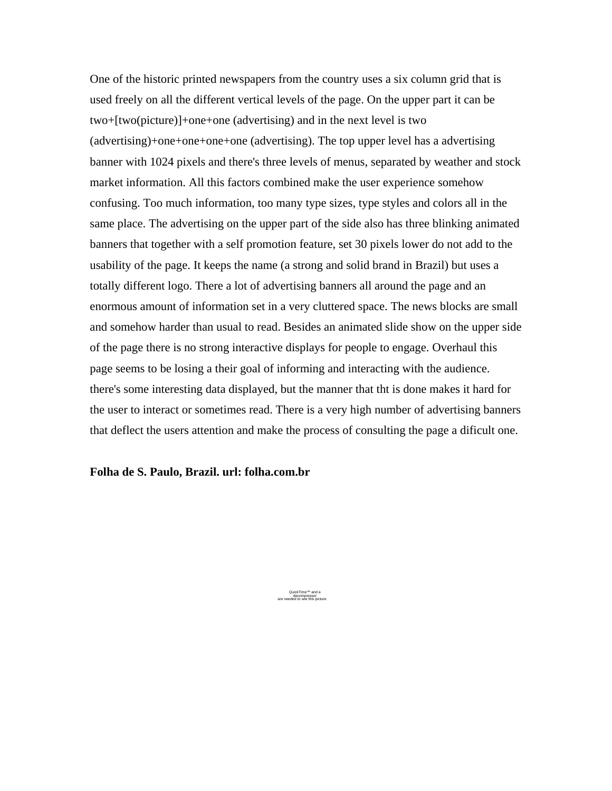One of the historic printed newspapers from the country uses a six column grid that is used freely on all the different vertical levels of the page. On the upper part it can be two+[two(picture)]+one+one (advertising) and in the next level is two (advertising)+one+one+one+one (advertising). The top upper level has a advertising banner with 1024 pixels and there's three levels of menus, separated by weather and stock market information. All this factors combined make the user experience somehow confusing. Too much information, too many type sizes, type styles and colors all in the same place. The advertising on the upper part of the side also has three blinking animated banners that together with a self promotion feature, set 30 pixels lower do not add to the usability of the page. It keeps the name (a strong and solid brand in Brazil) but uses a totally different logo. There a lot of advertising banners all around the page and an enormous amount of information set in a very cluttered space. The news blocks are small and somehow harder than usual to read. Besides an animated slide show on the upper side of the page there is no strong interactive displays for people to engage. Overhaul this page seems to be losing a their goal of informing and interacting with the audience. there's some interesting data displayed, but the manner that tht is done makes it hard for the user to interact or sometimes read. There is a very high number of advertising banners that deflect the users attention and make the process of consulting the page a dificult one.

# **Folha de S. Paulo, Brazil. url: folha.com.br**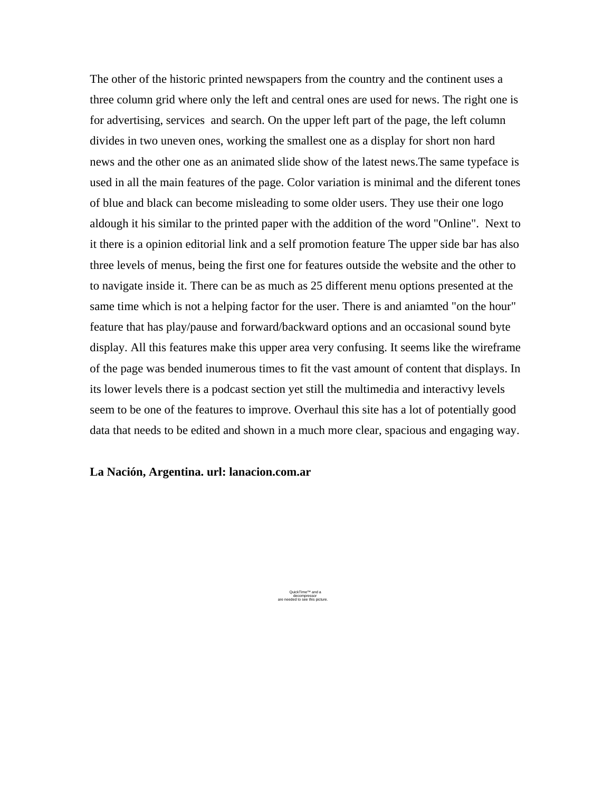The other of the historic printed newspapers from the country and the continent uses a three column grid where only the left and central ones are used for news. The right one is for advertising, services and search. On the upper left part of the page, the left column divides in two uneven ones, working the smallest one as a display for short non hard news and the other one as an animated slide show of the latest news.The same typeface is used in all the main features of the page. Color variation is minimal and the diferent tones of blue and black can become misleading to some older users. They use their one logo aldough it his similar to the printed paper with the addition of the word "Online". Next to it there is a opinion editorial link and a self promotion feature The upper side bar has also three levels of menus, being the first one for features outside the website and the other to to navigate inside it. There can be as much as 25 different menu options presented at the same time which is not a helping factor for the user. There is and aniamted "on the hour" feature that has play/pause and forward/backward options and an occasional sound byte display. All this features make this upper area very confusing. It seems like the wireframe of the page was bended inumerous times to fit the vast amount of content that displays. In its lower levels there is a podcast section yet still the multimedia and interactivy levels seem to be one of the features to improve. Overhaul this site has a lot of potentially good data that needs to be edited and shown in a much more clear, spacious and engaging way.

# **La Nación, Argentina. url: lanacion.com.ar**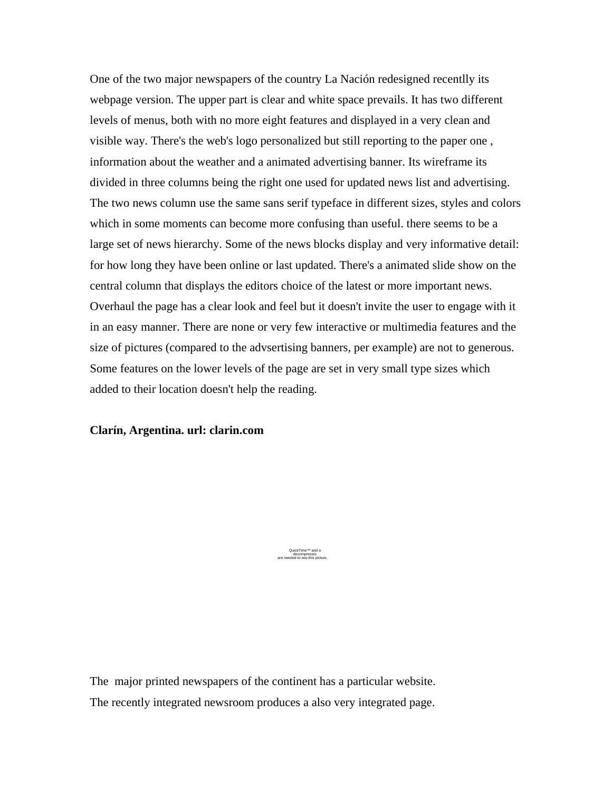One of the two major newspapers of the country La Nación redesigned recentlly its webpage version. The upper part is clear and white space prevails. It has two different levels of menus, both with no more eight features and displayed in a very clean and visible way. There's the web's logo personalized but still reporting to the paper one , information about the weather and a animated advertising banner. Its wireframe its divided in three columns being the right one used for updated news list and advertising. The two news column use the same sans serif typeface in different sizes, styles and colors which in some moments can become more confusing than useful. there seems to be a large set of news hierarchy. Some of the news blocks display and very informative detail: for how long they have been online or last updated. There's a animated slide show on the central column that displays the editors choice of the latest or more important news. Overhaul the page has a clear look and feel but it doesn't invite the user to engage with it in an easy manner. There are none or very few interactive or multimedia features and the size of pictures (compared to the advsertising banners, per example) are not to generous. Some features on the lower levels of the page are set in very small type sizes which added to their location doesn't help the reading.

# **Clarín, Argentina. url: clarin.com**

QuickTime™ and a decompressor are needed to see this picture.

The major printed newspapers of the continent has a particular website. The recently integrated newsroom produces a also very integrated page.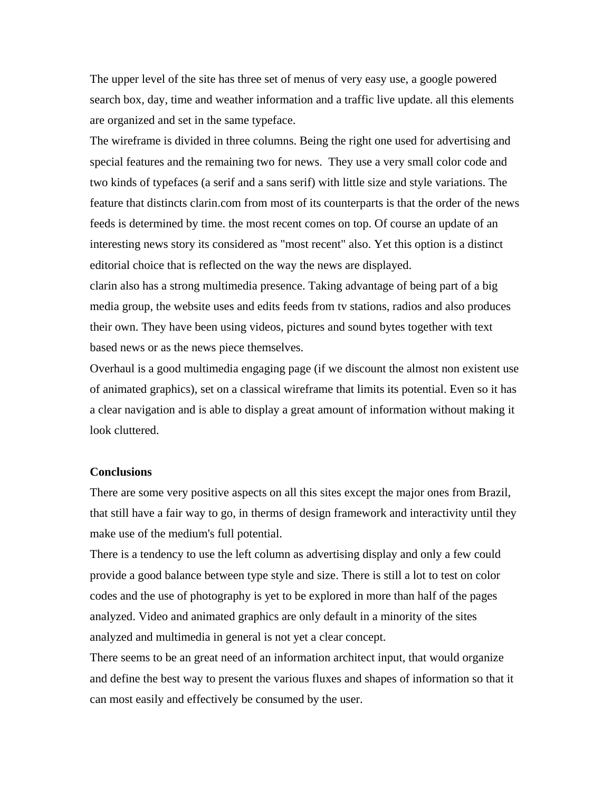The upper level of the site has three set of menus of very easy use, a google powered search box, day, time and weather information and a traffic live update. all this elements are organized and set in the same typeface.

The wireframe is divided in three columns. Being the right one used for advertising and special features and the remaining two for news. They use a very small color code and two kinds of typefaces (a serif and a sans serif) with little size and style variations. The feature that distincts clarin.com from most of its counterparts is that the order of the news feeds is determined by time. the most recent comes on top. Of course an update of an interesting news story its considered as "most recent" also. Yet this option is a distinct editorial choice that is reflected on the way the news are displayed.

clarin also has a strong multimedia presence. Taking advantage of being part of a big media group, the website uses and edits feeds from tv stations, radios and also produces their own. They have been using videos, pictures and sound bytes together with text based news or as the news piece themselves.

Overhaul is a good multimedia engaging page (if we discount the almost non existent use of animated graphics), set on a classical wireframe that limits its potential. Even so it has a clear navigation and is able to display a great amount of information without making it look cluttered.

## **Conclusions**

There are some very positive aspects on all this sites except the major ones from Brazil, that still have a fair way to go, in therms of design framework and interactivity until they make use of the medium's full potential.

There is a tendency to use the left column as advertising display and only a few could provide a good balance between type style and size. There is still a lot to test on color codes and the use of photography is yet to be explored in more than half of the pages analyzed. Video and animated graphics are only default in a minority of the sites analyzed and multimedia in general is not yet a clear concept.

There seems to be an great need of an information architect input, that would organize and define the best way to present the various fluxes and shapes of information so that it can most easily and effectively be consumed by the user.